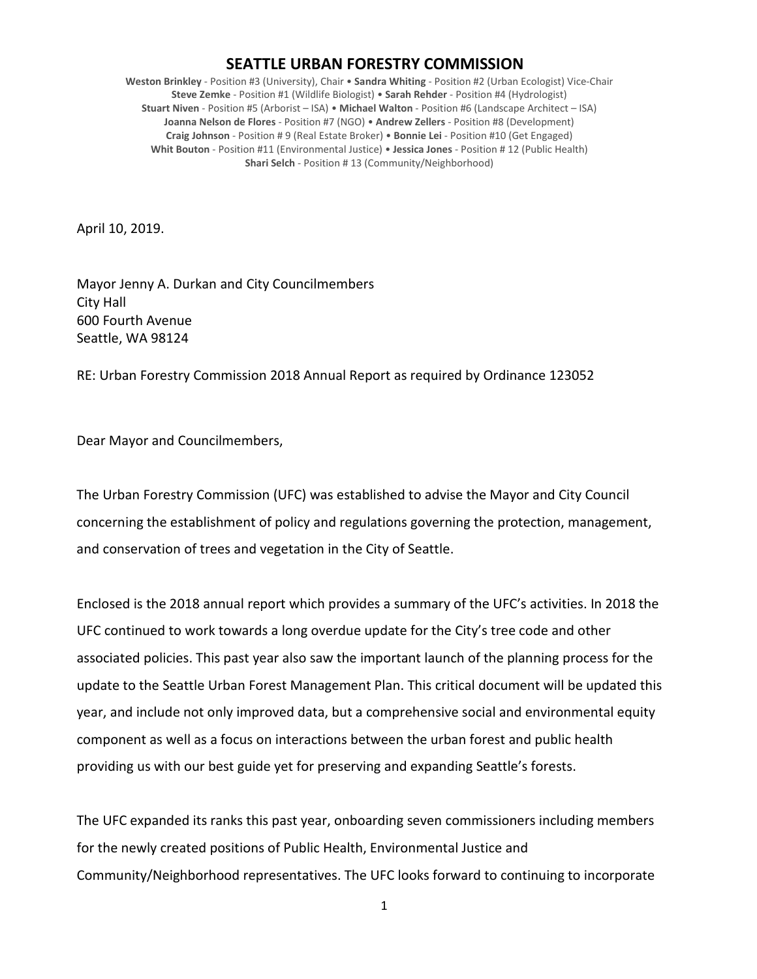## **SEATTLE URBAN FORESTRY COMMISSION**

**Weston Brinkley** - Position #3 (University), Chair • **Sandra Whiting** - Position #2 (Urban Ecologist) Vice-Chair **Steve Zemke** - Position #1 (Wildlife Biologist) • **Sarah Rehder** - Position #4 (Hydrologist) **Stuart Niven** - Position #5 (Arborist – ISA) • **Michael Walton** - Position #6 (Landscape Architect – ISA) **Joanna Nelson de Flores** - Position #7 (NGO) • **Andrew Zellers** - Position #8 (Development) **Craig Johnson** - Position # 9 (Real Estate Broker) • **Bonnie Lei** - Position #10 (Get Engaged) **Whit Bouton** - Position #11 (Environmental Justice) • **Jessica Jones** - Position # 12 (Public Health) **Shari Selch** - Position # 13 (Community/Neighborhood)

April 10, 2019.

Mayor Jenny A. Durkan and City Councilmembers City Hall 600 Fourth Avenue Seattle, WA 98124

RE: Urban Forestry Commission 2018 Annual Report as required by Ordinance 123052

Dear Mayor and Councilmembers,

The Urban Forestry Commission (UFC) was established to advise the Mayor and City Council concerning the establishment of policy and regulations governing the protection, management, and conservation of trees and vegetation in the City of Seattle.

Enclosed is the 2018 annual report which provides a summary of the UFC's activities. In 2018 the UFC continued to work towards a long overdue update for the City's tree code and other associated policies. This past year also saw the important launch of the planning process for the update to the Seattle Urban Forest Management Plan. This critical document will be updated this year, and include not only improved data, but a comprehensive social and environmental equity component as well as a focus on interactions between the urban forest and public health providing us with our best guide yet for preserving and expanding Seattle's forests.

The UFC expanded its ranks this past year, onboarding seven commissioners including members for the newly created positions of Public Health, Environmental Justice and Community/Neighborhood representatives. The UFC looks forward to continuing to incorporate